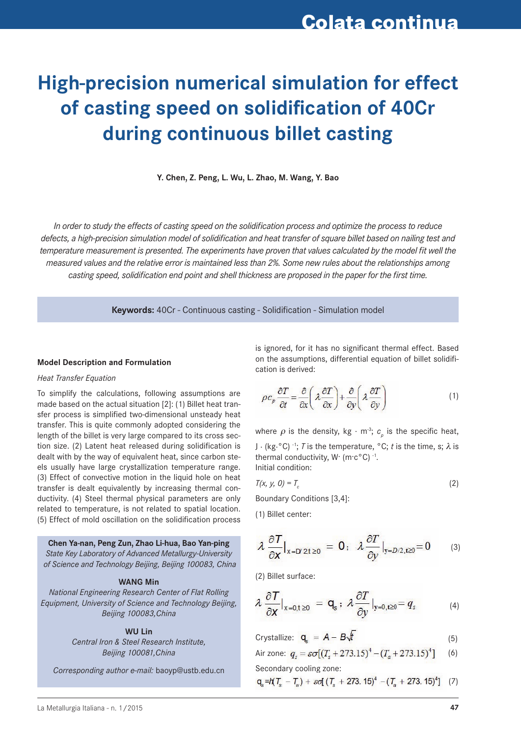# **High-precision numerical simulation for effect of casting speed on solidification of 40Cr during continuous billet casting**

**Y. Chen, Z. Peng, L. Wu, L. Zhao, M. Wang, Y. Bao** 

*In order to study the effects of casting speed on the solidification process and optimize the process to reduce defects, a high-precision simulation model of solidification and heat transfer of square billet based on nailing test and temperature measurement is presented. The experiments have proven that values calculated by the model fit well the measured values and the relative error is maintained less than 2%. Some new rules about the relationships among casting speed, solidification end point and shell thickness are proposed in the paper for the first time.*

**Keywords:** 40Cr - Continuous casting - Solidification - Simulation model

### **Model Description and Formulation**

### *Heat Transfer Equation*

To simplify the calculations, following assumptions are made based on the actual situation [2]: (1) Billet heat transfer process is simplified two-dimensional unsteady heat transfer. This is quite commonly adopted considering the length of the billet is very large compared to its cross section size. (2) Latent heat released during solidification is dealt with by the way of equivalent heat, since carbon steels usually have large crystallization temperature range. (3) Effect of convective motion in the liquid hole on heat transfer is dealt equivalently by increasing thermal conductivity. (4) Steel thermal physical parameters are only related to temperature, is not related to spatial location. (5) Effect of mold oscillation on the solidification process

**Chen Ya-nan, Peng Zun, Zhao Li-hua, Bao Yan-ping** *State Key Laboratory of Advanced Metallurgy-University of Science and Technology Beijing, Beijing 100083, China*

#### **WANG Min**

*National Engineering Research Center of Flat Rolling Equipment, University of Science and Technology Beijing, Beijing 100083,China*

**WU Lin**

*Central Iron & Steel Research Institute, Beijing 100081,China*

*Corresponding author e-mail:* baoyp@ustb.edu.cn

is ignored, for it has no significant thermal effect. Based on the assumptions, differential equation of billet solidification is derived:

$$
\rho c_p \frac{\partial T}{\partial t} = \frac{\partial}{\partial x} \left( \lambda \frac{\partial T}{\partial x} \right) + \frac{\partial}{\partial y} \left( \lambda \frac{\partial T}{\partial y} \right) \tag{1}
$$

where  $\rho$  is the density, kg  $\cdot$  m<sup>-3</sup>;  $c_{\rho}$  is the specific heat, J  $\cdot$  (kg<sup>o</sup>C)<sup>-1</sup>; *T* is the temperature, <sup>o</sup>C; *t* is the time, s;  $\lambda$  is thermal conductivity,  $W \cdot (m \cdot c^{\circ}C)^{-1}$ . Initial condition:

$$
T(x, y, 0) = T_c \tag{2}
$$

Boundary Conditions [3,4]:

(1) Billet center:

$$
\lambda \frac{\partial T}{\partial x}\big|_{x=D/2, t\geq 0} = 0; \quad \lambda \frac{\partial T}{\partial y}\big|_{y=D/2, t\geq 0} = 0 \tag{3}
$$

(2) Billet surface:

$$
\lambda \frac{\partial T}{\partial x}\big|_{x=0,\,t\geq 0} = \mathbf{q}_{s} \, ; \, \lambda \frac{\partial T}{\partial y}\big|_{y=0,\,t\geq 0} = q_{s} \tag{4}
$$

$$
Crystallize: \t\mathbf{q}_s = \mathbf{A} - \mathbf{B}\sqrt{t} \t\t(5)
$$

Air zone: 
$$
q_s = \varepsilon \sigma [(T_s + 273.15)^4 - (T_a + 273.15)^4]
$$
 (6)

Secondary cooling zone:

$$
q_s = h(T_s - T_w) + \mathcal{E}q \left( (T_s + 273.15)^4 - (T_a + 273.15)^4 \right) \tag{7}
$$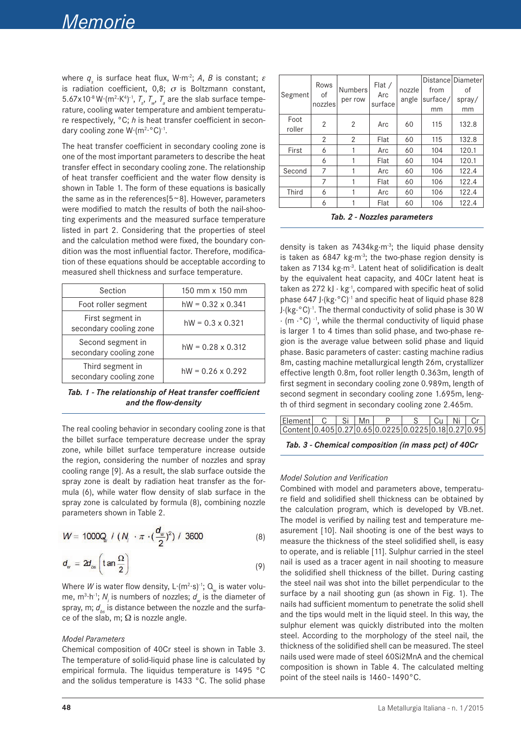where  $q_s$  is surface heat flux, W·m<sup>-2</sup>; A, B is constant;  $\varepsilon$ is radiation coefficient, 0,8;  $\sigma$  is Boltzmann constant, 5.67x10<sup>-8</sup> W  $(m^2 \cdot K^4)^{-1}$ ,  $T_s$ ,  $T_w$ ,  $T_a$  are the slab surface temperature, cooling water temperature and ambient temperature respectively, °C; *h* is heat transfer coefficient in secondary cooling zone W·(m<sup>2</sup>·°C)<sup>-1</sup>.

The heat transfer coefficient in secondary cooling zone is one of the most important parameters to describe the heat transfer effect in secondary cooling zone. The relationship of heat transfer coefficient and the water flow density is shown in Table 1. The form of these equations is basically the same as in the references $[5-8]$ . However, parameters were modified to match the results of both the nail-shooting experiments and the measured surface temperature listed in part 2. Considering that the properties of steel and the calculation method were fixed, the boundary condition was the most influential factor. Therefore, modification of these equations should be acceptable according to measured shell thickness and surface temperature.

| Section                                     | 150 mm x 150 mm          |
|---------------------------------------------|--------------------------|
| Foot roller segment                         | $hW = 0.32 \times 0.341$ |
| First segment in<br>secondary cooling zone  | $hW = 0.3 \times 0.321$  |
| Second segment in<br>secondary cooling zone | $hW = 0.28 \times 0.312$ |
| Third segment in<br>secondary cooling zone  | $hW = 0.26 \times 0.292$ |

*Tab. 1 - The relationship of Heat transfer coefficient and the flow-density*

The real cooling behavior in secondary cooling zone is that the billet surface temperature decrease under the spray zone, while billet surface temperature increase outside the region, considering the number of nozzles and spray cooling range [9]. As a result, the slab surface outside the spray zone is dealt by radiation heat transfer as the formula (6), while water flow density of slab surface in the spray zone is calculated by formula (8), combining nozzle parameters shown in Table 2.

$$
W = 1000Q_{v} / (N_{i} \cdot \pi \cdot (\frac{d_{w}}{2})^{2}) / 3600
$$
 (8)

$$
d_w = 2d_{os}\left(\tan\frac{\Omega}{2}\right) \tag{9}
$$

Where *W* is water flow density,  $L$ · $(m^2·s)^{-1}$ ;  $Q_w$  is water volume, m<sup>3</sup>·h<sup>-1</sup>;  $N_i$  is numbers of nozzles;  $d_{w}$  is the diameter of spray, m;  $d_{bc}$  is distance between the nozzle and the surface of the slab, m;  $\Omega$  is nozzle angle.

### *Model Parameters*

Chemical composition of 40Cr steel is shown in Table 3. The temperature of solid-liquid phase line is calculated by empirical formula. The liquidus temperature is 1495 °C and the solidus temperature is 1433 °C. The solid phase

| Segment        | Rows<br>οf<br>nozzles | <b>Numbers</b><br>per row | Flat /<br>Arc<br>surface | nozzle<br>angle | from<br>surface/<br>mm | Distance Diameter<br>οf<br>spray/<br>mm |
|----------------|-----------------------|---------------------------|--------------------------|-----------------|------------------------|-----------------------------------------|
| Foot<br>roller | 2                     | $\overline{2}$            | Arc                      | 60              | 115                    | 132.8                                   |
|                | 2                     | $\overline{2}$            | Flat                     | 60              | 115                    | 132.8                                   |
| First          | 6                     |                           | Arc                      | 60              | 104                    | 120.1                                   |
|                | 6                     |                           | Flat                     | 60              | 104                    | 120.1                                   |
| Second         | 7                     |                           | Arc                      | 60              | 106                    | 122.4                                   |
|                | 7                     |                           | Flat                     | 60              | 106                    | 122.4                                   |
| Third          | 6                     |                           | Arc                      | 60              | 106                    | 122.4                                   |
|                | 6                     |                           | Flat                     | 60              | 106                    | 122.4                                   |

density is taken as 7434kg $\cdot$ m<sup>-3</sup>; the liquid phase density is taken as 6847 kg $\cdot$ m<sup>-3</sup>; the two-phase region density is taken as 7134 kg·m<sup>-3</sup>. Latent heat of solidification is dealt by the equivalent heat capacity, and 40Cr latent heat is taken as 272 kJ  $\cdot$  kg<sup>-1</sup>, compared with specific heat of solid phase 647 J·(kg·°C)-1 and specific heat of liquid phase 828 J·(kg·°C)-1. The thermal conductivity of solid phase is 30 W  $\cdot$  (m  $\cdot$  °C) <sup>-1</sup>, while the thermal conductivity of liquid phase is larger 1 to 4 times than solid phase, and two-phase region is the average value between solid phase and liquid phase. Basic parameters of caster: casting machine radius 8m, casting machine metallurgical length 26m, crystallizer effective length 0.8m, foot roller length 0.363m, length of first segment in secondary cooling zone 0.989m, length of second segment in secondary cooling zone 1.695m, length of third segment in secondary cooling zone 2.465m.

| Element C   Si   Mn   P   S   Cu   Ni   Cr           |  |  |  |  |
|------------------------------------------------------|--|--|--|--|
| Content 0.405 0.27 0.65 0.0225 0.0225 0.18 0.27 0.95 |  |  |  |  |
|                                                      |  |  |  |  |

*Tab. 3 - Chemical composition (in mass pct) of 40Cr*

### *Model Solution and Verification*

Combined with model and parameters above, temperature field and solidified shell thickness can be obtained by the calculation program, which is developed by VB.net. The model is verified by nailing test and temperature measurement [10]. Nail shooting is one of the best ways to measure the thickness of the steel solidified shell, is easy to operate, and is reliable [11]. Sulphur carried in the steel nail is used as a tracer agent in nail shooting to measure the solidified shell thickness of the billet. During casting the steel nail was shot into the billet perpendicular to the surface by a nail shooting gun (as shown in Fig. 1). The nails had sufficient momentum to penetrate the solid shell and the tips would melt in the liquid steel. In this way, the sulphur element was quickly distributed into the molten steel. According to the morphology of the steel nail, the thickness of the solidified shell can be measured. The steel nails used were made of steel 60Si2MnA and the chemical composition is shown in Table 4. The calculated melting point of the steel nails is 1460~1490°C.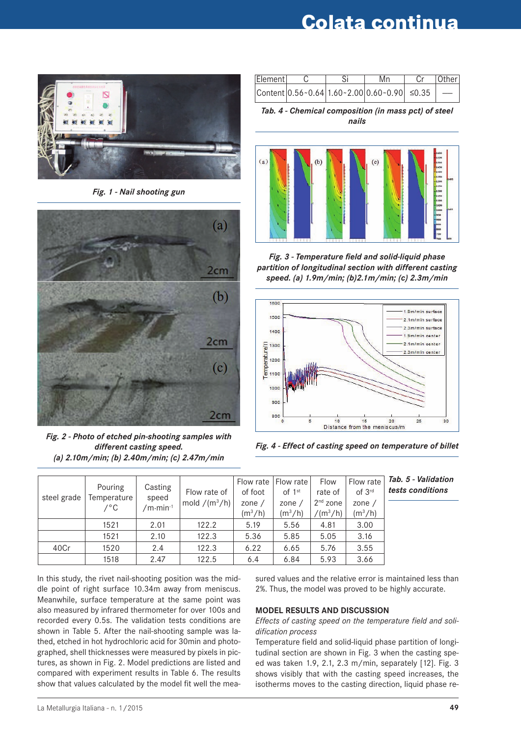# **Colata continua**



*Fig. 1 - Nail shooting gun*



*Fig. 2 - Photo of etched pin-shooting samples with different casting speed. (a) 2.10m/min; (b) 2.40m/min; (c) 2.47m/min*

| Element |  | Mn                                                 | Cr   Other |
|---------|--|----------------------------------------------------|------------|
|         |  | $ Content 0.56~0.64 1.60~2.00 0.60~0.90  \le 0.35$ |            |

*Tab. 4 - Chemical composition (in mass pct) of steel nails*



*Fig. 3 - Temperature field and solid-liquid phase partition of longitudinal section with different casting speed. (a) 1.9m/min; (b)2.1m/min; (c) 2.3m/min*



*Fig. 4 - Effect of casting speed on temperature of billet* 

|             | Pouring     |                     |                 | Flow rate   Flow rate |           | Flow       | Flow rate          | Tab. 5 - Validation |
|-------------|-------------|---------------------|-----------------|-----------------------|-----------|------------|--------------------|---------------------|
| steel grade | Temperature | Casting<br>speed    | Flow rate of    | of foot               | of $1st$  | rate of    | of 3 <sup>rd</sup> | tests conditions    |
|             | ∕°C         | $/m \cdot min^{-1}$ | mold $/(m^3/h)$ | zone $/$              | zone $/$  | $2nd$ zone | zone $/$           |                     |
|             |             |                     |                 | $(m^3/h)$             | $(m^3/h)$ | $/(m^3/h)$ | $(m^3/h)$          |                     |
|             | 1521        | 2.01                | 122.2           | 5.19                  | 5.56      | 4.81       | 3.00               |                     |
|             | 1521        | 2.10                | 122.3           | 5.36                  | 5.85      | 5.05       | 3.16               |                     |
| 40Cr        | 1520        | 2.4                 | 122.3           | 6.22                  | 6.65      | 5.76       | 3.55               |                     |
|             | 1518        | 2.47                | 122.5           | 6.4                   | 6.84      | 5.93       | 3.66               |                     |

In this study, the rivet nail-shooting position was the middle point of right surface 10.34m away from meniscus. Meanwhile, surface temperature at the same point was also measured by infrared thermometer for over 100s and recorded every 0.5s. The validation tests conditions are shown in Table 5. After the nail-shooting sample was lathed, etched in hot hydrochloric acid for 30min and photographed, shell thicknesses were measured by pixels in pictures, as shown in Fig. 2. Model predictions are listed and compared with experiment results in Table 6. The results show that values calculated by the model fit well the measured values and the relative error is maintained less than 2%. Thus, the model was proved to be highly accurate.

# **Model results and Discussion**

*Effects of casting speed on the temperature field and solidification process*

Temperature field and solid-liquid phase partition of longitudinal section are shown in Fig. 3 when the casting speed was taken 1.9, 2.1, 2.3 m/min, separately [12]. Fig. 3 shows visibly that with the casting speed increases, the isotherms moves to the casting direction, liquid phase re-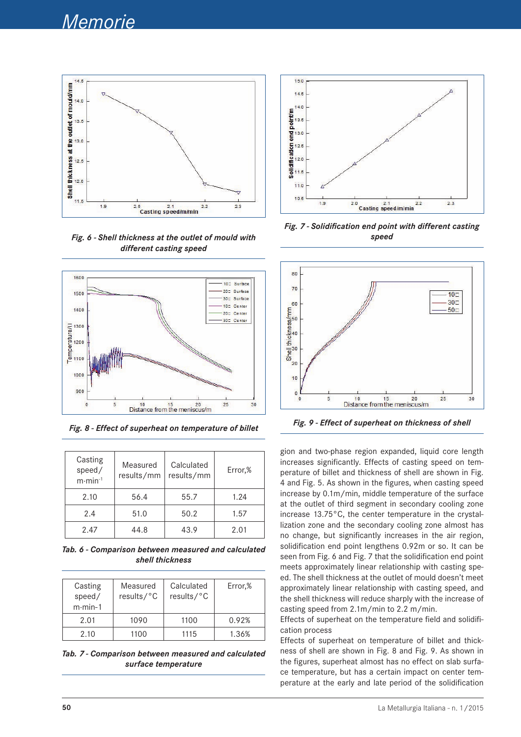

*Fig. 6 - Shell thickness at the outlet of mould with different casting speed* 



*Fig. 8 - Effect of superheat on temperature of billet Fig. 9 - Effect of superheat on thickness of shell*

| Casting<br>speed/<br>$m \cdot min^{-1}$ | Measured<br>results/mm | Calculated<br>results/mm | Error,% |
|-----------------------------------------|------------------------|--------------------------|---------|
| 2.10                                    | 56.4                   | 55.7                     | 1.24    |
| 2.4                                     | 51.0                   | 50.2                     | 1.57    |
| 2.47                                    | 44.8                   | 43.9                     | 2.01    |

*Tab. 6 - Comparison between measured and calculated shell thickness*

| Casting<br>speed/<br>$m \cdot min - 1$ | Measured<br>results/°C | Calculated<br>results/°C | Error,% |
|----------------------------------------|------------------------|--------------------------|---------|
| 2.01                                   | 1090                   | 1100                     | 0.92%   |
| 2.10                                   | 1100                   | 1115                     | 1.36%   |

*Tab. 7 - Comparison between measured and calculated surface temperature*



*Fig. 7 - Solidification end point with different casting speed*



gion and two-phase region expanded, liquid core length increases significantly. Effects of casting speed on temperature of billet and thickness of shell are shown in Fig. 4 and Fig. 5. As shown in the figures, when casting speed increase by 0.1m/min, middle temperature of the surface at the outlet of third segment in secondary cooling zone increase 13.75°C, the center temperature in the crystallization zone and the secondary cooling zone almost has no change, but significantly increases in the air region, solidification end point lengthens 0.92m or so. It can be seen from Fig. 6 and Fig. 7 that the solidification end point meets approximately linear relationship with casting speed. The shell thickness at the outlet of mould doesn't meet approximately linear relationship with casting speed, and the shell thickness will reduce sharply with the increase of casting speed from 2.1m/min to 2.2 m/min.

Effects of superheat on the temperature field and solidification process

Effects of superheat on temperature of billet and thickness of shell are shown in Fig. 8 and Fig. 9. As shown in the figures, superheat almost has no effect on slab surface temperature, but has a certain impact on center temperature at the early and late period of the solidification